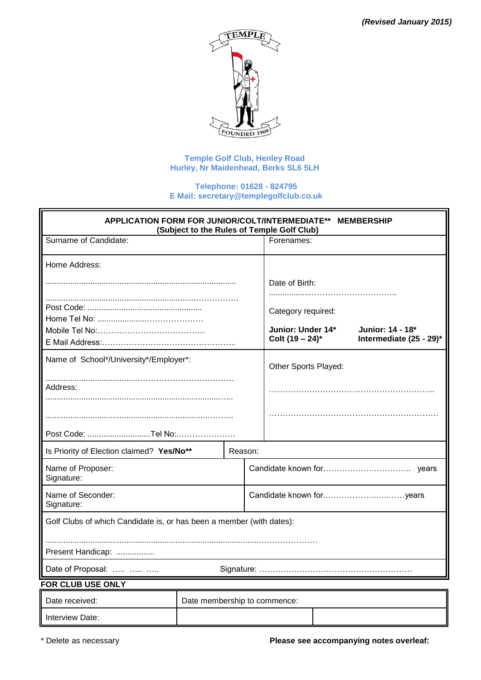

# **Temple Golf Club, Henley Road Hurley, Nr Maidenhead, Berks SL6 5LH**

### **Telephone: 01628 - 824795 E Mail: [secretary@templegolfclub.co.uk](mailto:secretary@templegolfclub.co.uk)**

| APPLICATION FORM FOR JUNIOR/COLT/INTERMEDIATE** MEMBERSHIP<br>(Subject to the Rules of Temple Golf Club) |  |                                         |                      |                                             |  |
|----------------------------------------------------------------------------------------------------------|--|-----------------------------------------|----------------------|---------------------------------------------|--|
| Surname of Candidate:                                                                                    |  |                                         | Forenames:           |                                             |  |
| Home Address:                                                                                            |  |                                         |                      |                                             |  |
|                                                                                                          |  |                                         | Date of Birth:       |                                             |  |
|                                                                                                          |  |                                         | Category required:   |                                             |  |
|                                                                                                          |  | Junior: Under 14*<br>Colt $(19 - 24)^*$ |                      | Junior: 14 - 18*<br>Intermediate (25 - 29)* |  |
| Name of School*/University*/Employer*:                                                                   |  |                                         | Other Sports Played: |                                             |  |
| Address:                                                                                                 |  |                                         |                      |                                             |  |
|                                                                                                          |  |                                         |                      |                                             |  |
| Post Code: Tel No:                                                                                       |  |                                         |                      |                                             |  |
| Is Priority of Election claimed? Yes/No**<br>Reason:                                                     |  |                                         |                      |                                             |  |
| Name of Proposer:<br>Signature:                                                                          |  |                                         |                      |                                             |  |
| Name of Seconder:<br>Signature:                                                                          |  |                                         |                      |                                             |  |
| Golf Clubs of which Candidate is, or has been a member (with dates):                                     |  |                                         |                      |                                             |  |
| Present Handicap:                                                                                        |  |                                         |                      |                                             |  |
| Date of Proposal:                                                                                        |  |                                         |                      |                                             |  |
| <b>FOR CLUB USE ONLY</b>                                                                                 |  |                                         |                      |                                             |  |
| Date received:<br>Date membership to commence:                                                           |  |                                         |                      |                                             |  |
| Interview Date:                                                                                          |  |                                         |                      |                                             |  |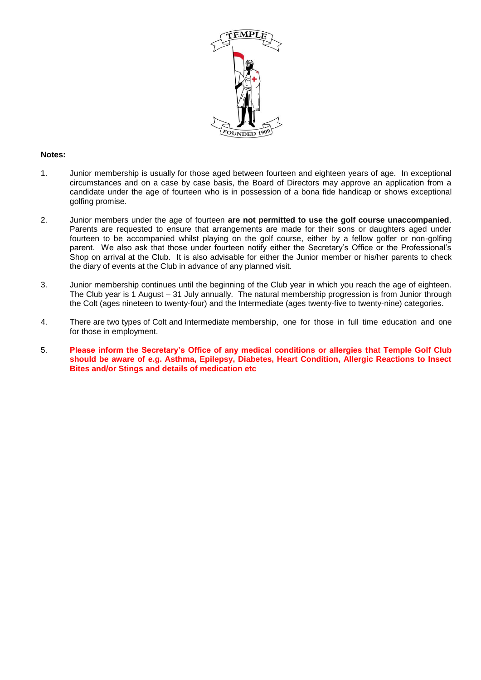

### **Notes:**

- 1. Junior membership is usually for those aged between fourteen and eighteen years of age. In exceptional circumstances and on a case by case basis, the Board of Directors may approve an application from a candidate under the age of fourteen who is in possession of a bona fide handicap or shows exceptional golfing promise.
- 2. Junior members under the age of fourteen **are not permitted to use the golf course unaccompanied**. Parents are requested to ensure that arrangements are made for their sons or daughters aged under fourteen to be accompanied whilst playing on the golf course, either by a fellow golfer or non-golfing parent. We also ask that those under fourteen notify either the Secretary's Office or the Professional's Shop on arrival at the Club. It is also advisable for either the Junior member or his/her parents to check the diary of events at the Club in advance of any planned visit.
- 3. Junior membership continues until the beginning of the Club year in which you reach the age of eighteen. The Club year is 1 August – 31 July annually. The natural membership progression is from Junior through the Colt (ages nineteen to twenty-four) and the Intermediate (ages twenty-five to twenty-nine) categories.
- 4. There are two types of Colt and Intermediate membership, one for those in full time education and one for those in employment.
- 5. **Please inform the Secretary's Office of any medical conditions or allergies that Temple Golf Club should be aware of e.g. Asthma, Epilepsy, Diabetes, Heart Condition, Allergic Reactions to Insect Bites and/or Stings and details of medication etc**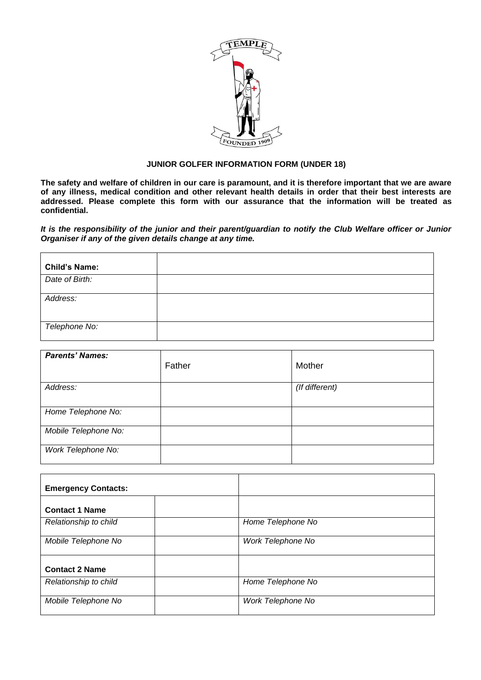

# **JUNIOR GOLFER INFORMATION FORM (UNDER 18)**

**The safety and welfare of children in our care is paramount, and it is therefore important that we are aware of any illness, medical condition and other relevant health details in order that their best interests are addressed. Please complete this form with our assurance that the information will be treated as confidential.**

*It is the responsibility of the junior and their parent/guardian to notify the Club Welfare officer or Junior Organiser if any of the given details change at any time.*

| <b>Child's Name:</b> |  |
|----------------------|--|
| Date of Birth:       |  |
| Address:             |  |
| Telephone No:        |  |

| <b>Parents' Names:</b> | Father | Mother         |
|------------------------|--------|----------------|
| Address:               |        | (If different) |
| Home Telephone No:     |        |                |
| Mobile Telephone No:   |        |                |
| Work Telephone No:     |        |                |

| <b>Emergency Contacts:</b> |                   |
|----------------------------|-------------------|
| <b>Contact 1 Name</b>      |                   |
| Relationship to child      | Home Telephone No |
| Mobile Telephone No        | Work Telephone No |
| <b>Contact 2 Name</b>      |                   |
| Relationship to child      | Home Telephone No |
| Mobile Telephone No        | Work Telephone No |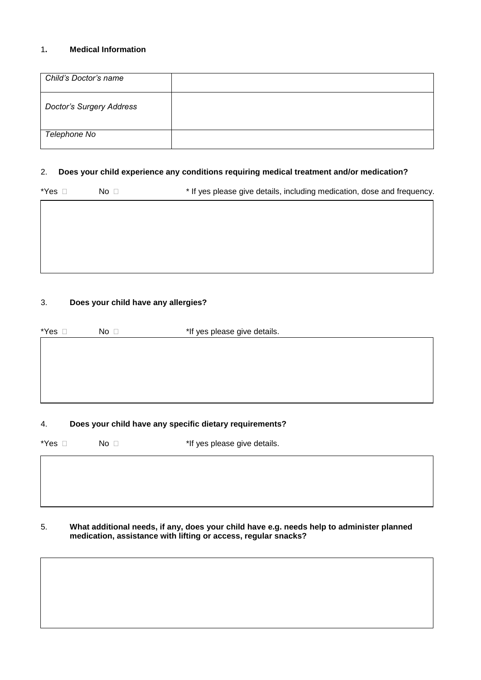# 1**. Medical Information**

| Child's Doctor's name           |  |
|---------------------------------|--|
| <b>Doctor's Surgery Address</b> |  |
| Telephone No                    |  |

# 2. **Does your child experience any conditions requiring medical treatment and/or medication?**

| – No ⊏ | * If yes please give details, including medication, dose and frequency. |
|--------|-------------------------------------------------------------------------|
|        |                                                                         |

# 3. **Does your child have any allergies?**

*Disability*

| No <sub>1</sub> | *If yes please give details. |
|-----------------|------------------------------|
|                 |                              |
|                 |                              |
|                 |                              |
|                 |                              |
|                 |                              |
|                 |                              |

# 4. **Does your child have any specific dietary requirements?**

| *Yes □ | No <sub>1</sub> | *If yes please give details. |  |
|--------|-----------------|------------------------------|--|
|        |                 |                              |  |
|        |                 |                              |  |
|        |                 |                              |  |

## 5. **What additional needs, if any, does your child have e.g. needs help to administer planned medication, assistance with lifting or access, regular snacks?**